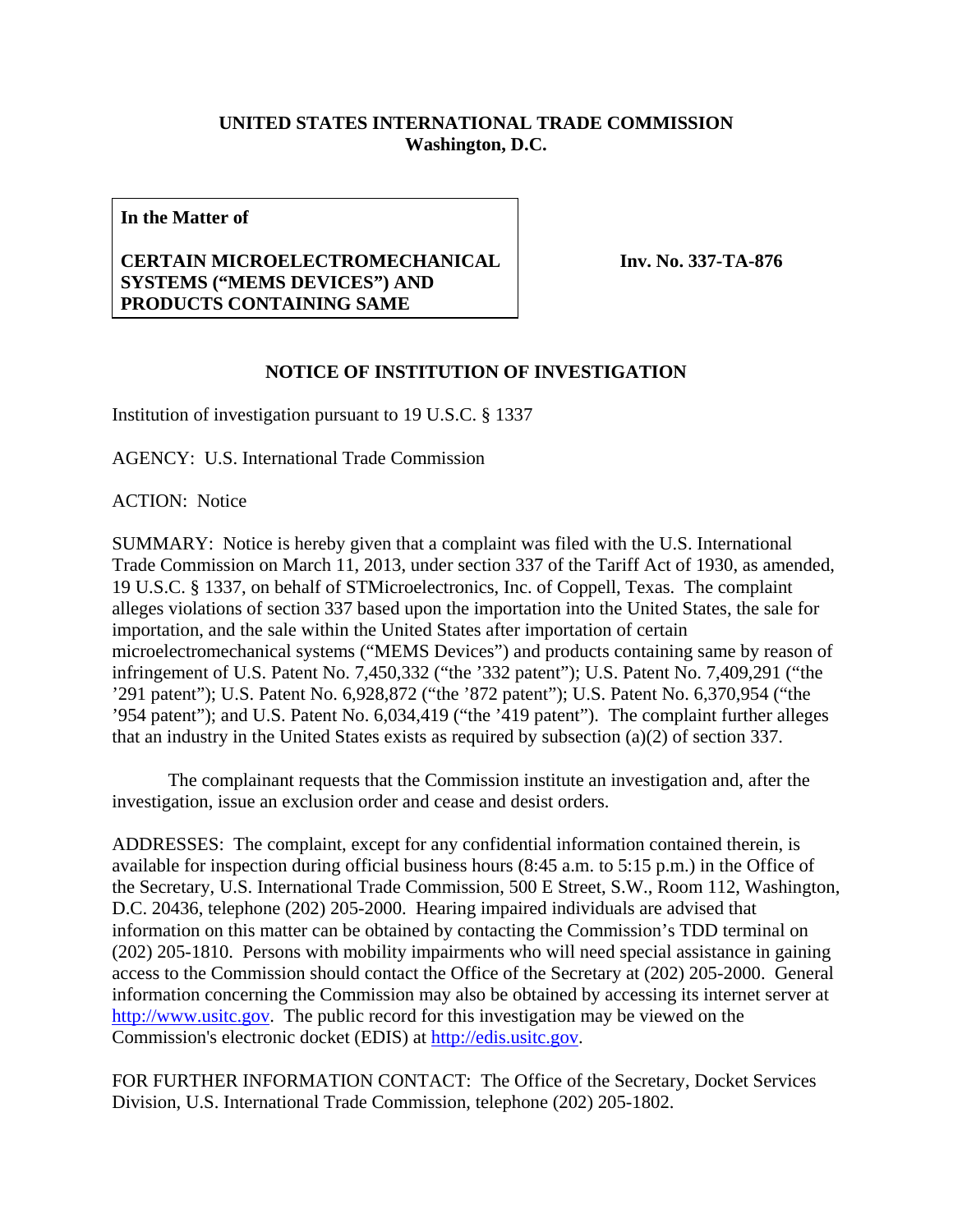## **UNITED STATES INTERNATIONAL TRADE COMMISSION Washington, D.C.**

**In the Matter of** 

## **CERTAIN MICROELECTROMECHANICAL SYSTEMS ("MEMS DEVICES") AND PRODUCTS CONTAINING SAME**

**Inv. No. 337-TA-876**

## **NOTICE OF INSTITUTION OF INVESTIGATION**

Institution of investigation pursuant to 19 U.S.C. § 1337

AGENCY: U.S. International Trade Commission

ACTION: Notice

SUMMARY: Notice is hereby given that a complaint was filed with the U.S. International Trade Commission on March 11, 2013, under section 337 of the Tariff Act of 1930, as amended, 19 U.S.C. § 1337, on behalf of STMicroelectronics, Inc. of Coppell, Texas. The complaint alleges violations of section 337 based upon the importation into the United States, the sale for importation, and the sale within the United States after importation of certain microelectromechanical systems ("MEMS Devices") and products containing same by reason of infringement of U.S. Patent No. 7,450,332 ("the '332 patent"); U.S. Patent No. 7,409,291 ("the '291 patent"); U.S. Patent No. 6,928,872 ("the '872 patent"); U.S. Patent No. 6,370,954 ("the '954 patent"); and U.S. Patent No. 6,034,419 ("the '419 patent"). The complaint further alleges that an industry in the United States exists as required by subsection (a)(2) of section 337.

 The complainant requests that the Commission institute an investigation and, after the investigation, issue an exclusion order and cease and desist orders.

ADDRESSES: The complaint, except for any confidential information contained therein, is available for inspection during official business hours (8:45 a.m. to 5:15 p.m.) in the Office of the Secretary, U.S. International Trade Commission, 500 E Street, S.W., Room 112, Washington, D.C. 20436, telephone (202) 205-2000. Hearing impaired individuals are advised that information on this matter can be obtained by contacting the Commission's TDD terminal on (202) 205-1810. Persons with mobility impairments who will need special assistance in gaining access to the Commission should contact the Office of the Secretary at (202) 205-2000. General information concerning the Commission may also be obtained by accessing its internet server at http://www.usitc.gov. The public record for this investigation may be viewed on the Commission's electronic docket (EDIS) at http://edis.usitc.gov.

FOR FURTHER INFORMATION CONTACT: The Office of the Secretary, Docket Services Division, U.S. International Trade Commission, telephone (202) 205-1802.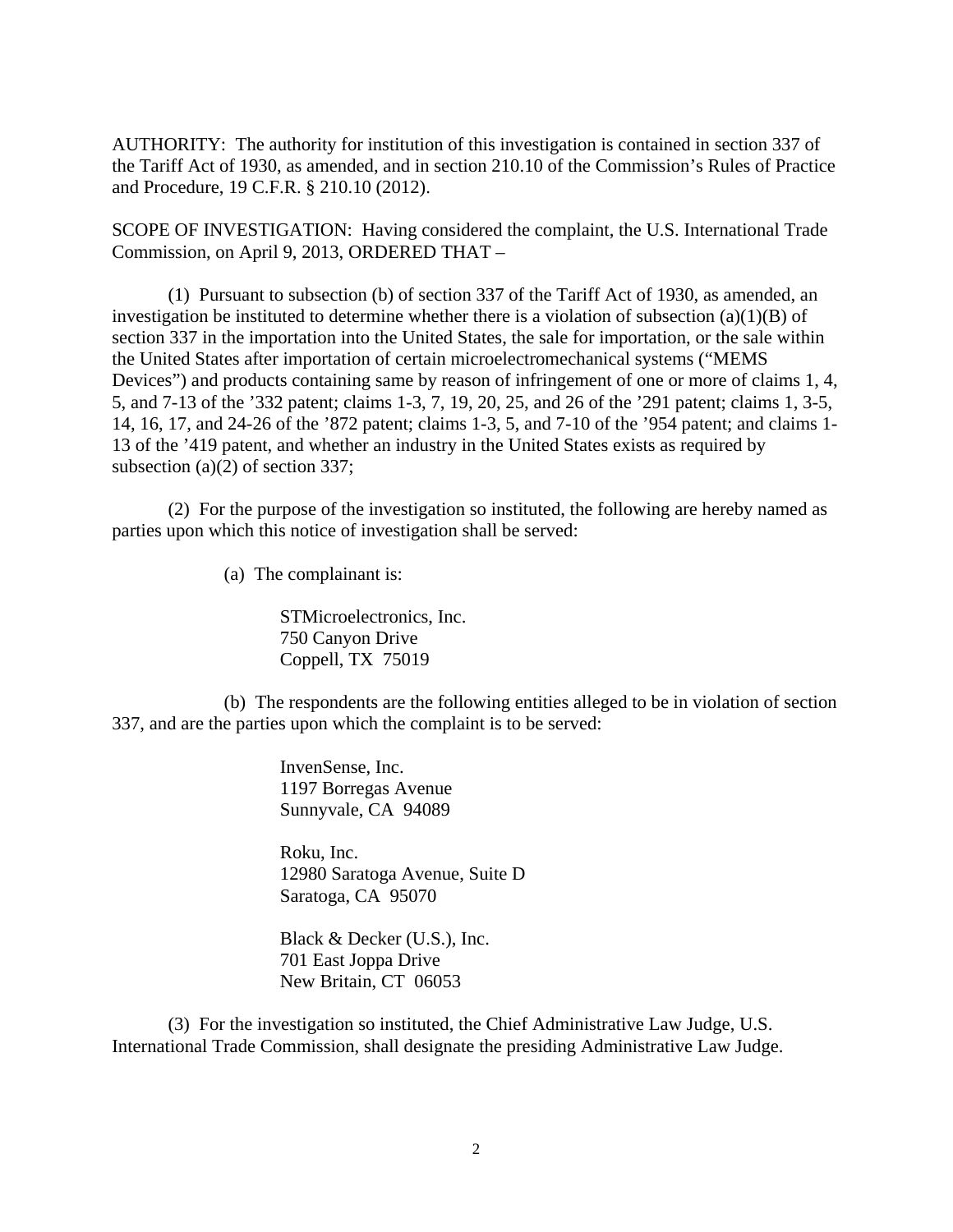AUTHORITY: The authority for institution of this investigation is contained in section 337 of the Tariff Act of 1930, as amended, and in section 210.10 of the Commission's Rules of Practice and Procedure, 19 C.F.R. § 210.10 (2012).

SCOPE OF INVESTIGATION: Having considered the complaint, the U.S. International Trade Commission, on April 9, 2013, ORDERED THAT –

 (1) Pursuant to subsection (b) of section 337 of the Tariff Act of 1930, as amended, an investigation be instituted to determine whether there is a violation of subsection  $(a)(1)(B)$  of section 337 in the importation into the United States, the sale for importation, or the sale within the United States after importation of certain microelectromechanical systems ("MEMS Devices") and products containing same by reason of infringement of one or more of claims 1, 4, 5, and 7-13 of the '332 patent; claims 1-3, 7, 19, 20, 25, and 26 of the '291 patent; claims 1, 3-5, 14, 16, 17, and 24-26 of the '872 patent; claims 1-3, 5, and 7-10 of the '954 patent; and claims 1- 13 of the '419 patent, and whether an industry in the United States exists as required by subsection (a)(2) of section 337;

 (2) For the purpose of the investigation so instituted, the following are hereby named as parties upon which this notice of investigation shall be served:

(a) The complainant is:

 STMicroelectronics, Inc. 750 Canyon Drive Coppell, TX 75019

 (b) The respondents are the following entities alleged to be in violation of section 337, and are the parties upon which the complaint is to be served:

> InvenSense, Inc. 1197 Borregas Avenue Sunnyvale, CA 94089

 Roku, Inc. 12980 Saratoga Avenue, Suite D Saratoga, CA 95070

 Black & Decker (U.S.), Inc. 701 East Joppa Drive New Britain, CT 06053

 (3) For the investigation so instituted, the Chief Administrative Law Judge, U.S. International Trade Commission, shall designate the presiding Administrative Law Judge.